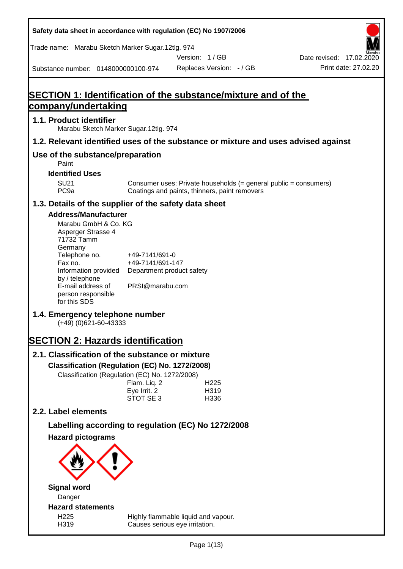**Safety data sheet in accordance with regulation (EC) No 1907/2006** Substance number: 0148000000100-974 Version: 1 / GB Replaces Version: - / GB Print date: 27.02.20 Date revised: 17.02.2020 Trade name: Marabu Sketch Marker Sugar.12tlg. 974 **SECTION 1: Identification of the substance/mixture and of the company/undertaking 1.1. Product identifier** Marabu Sketch Marker Sugar.12tlg. 974 **1.2. Relevant identified uses of the substance or mixture and uses advised against Use of the substance/preparation** Paint **Identified Uses** SU21 Consumer uses: Private households (= general public = consumers)<br>PC9a Coatings and paints, thinners, paint removers Coatings and paints, thinners, paint removers **1.3. Details of the supplier of the safety data sheet Address/Manufacturer** Marabu GmbH & Co. KG Asperger Strasse 4 71732 Tamm **Germany** Telephone no. +49-7141/691-0 Fax no.  $+49-7141/691-147$ Information provided Department product safety by / telephone E-mail address of person responsible for this SDS PRSI@marabu.com **1.4. Emergency telephone number** (+49) (0)621-60-43333 **SECTION 2: Hazards identification 2.1. Classification of the substance or mixture Classification (Regulation (EC) No. 1272/2008)** Classification (Regulation (EC) No. 1272/2008) Flam. Liq. 2 H225 Eve Irrit. 2 H319 STOT SE 3 H336 **2.2. Label elements Labelling according to regulation (EC) No 1272/2008 Hazard pictograms Signal word** Danger **Hazard statements** H225 Highly flammable liquid and vapour. H319 Causes serious eye irritation.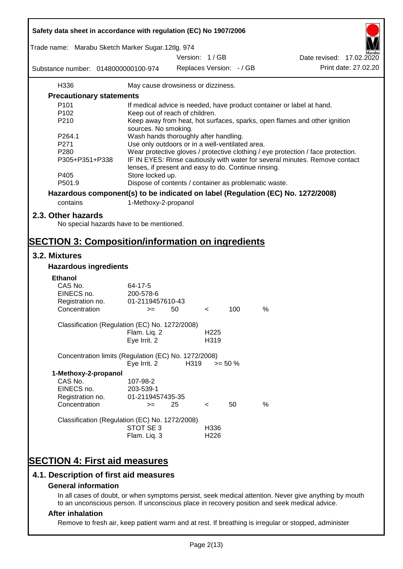| Safety data sheet in accordance with regulation (EC) No 1907/2006                            |                                                                                                                                     |      |                          |     |      |                                                                                                       |
|----------------------------------------------------------------------------------------------|-------------------------------------------------------------------------------------------------------------------------------------|------|--------------------------|-----|------|-------------------------------------------------------------------------------------------------------|
| Trade name: Marabu Sketch Marker Sugar.12tlg. 974                                            |                                                                                                                                     |      | Version: 1/GB            |     |      | Date revised: 17.02.2020                                                                              |
| Substance number: 0148000000100-974                                                          |                                                                                                                                     |      | Replaces Version: - / GB |     |      | Print date: 27.02.20                                                                                  |
|                                                                                              |                                                                                                                                     |      |                          |     |      |                                                                                                       |
| H336                                                                                         | May cause drowsiness or dizziness.                                                                                                  |      |                          |     |      |                                                                                                       |
| <b>Precautionary statements</b>                                                              |                                                                                                                                     |      |                          |     |      |                                                                                                       |
| P <sub>101</sub>                                                                             |                                                                                                                                     |      |                          |     |      | If medical advice is needed, have product container or label at hand.                                 |
| P <sub>102</sub><br>P210                                                                     | Keep out of reach of children.                                                                                                      |      |                          |     |      | Keep away from heat, hot surfaces, sparks, open flames and other ignition                             |
|                                                                                              | sources. No smoking.                                                                                                                |      |                          |     |      |                                                                                                       |
| P264.1                                                                                       | Wash hands thoroughly after handling.                                                                                               |      |                          |     |      |                                                                                                       |
| P271                                                                                         | Use only outdoors or in a well-ventilated area.                                                                                     |      |                          |     |      |                                                                                                       |
| P280                                                                                         |                                                                                                                                     |      |                          |     |      | Wear protective gloves / protective clothing / eye protection / face protection.                      |
| P305+P351+P338                                                                               | IF IN EYES: Rinse cautiously with water for several minutes. Remove contact<br>lenses, if present and easy to do. Continue rinsing. |      |                          |     |      |                                                                                                       |
| P405                                                                                         | Store locked up.                                                                                                                    |      |                          |     |      |                                                                                                       |
| P501.9                                                                                       | Dispose of contents / container as problematic waste.                                                                               |      |                          |     |      |                                                                                                       |
| Hazardous component(s) to be indicated on label (Regulation (EC) No. 1272/2008)              |                                                                                                                                     |      |                          |     |      |                                                                                                       |
| contains                                                                                     | 1-Methoxy-2-propanol                                                                                                                |      |                          |     |      |                                                                                                       |
|                                                                                              |                                                                                                                                     |      |                          |     |      |                                                                                                       |
| 2.3. Other hazards                                                                           |                                                                                                                                     |      |                          |     |      |                                                                                                       |
| No special hazards have to be mentioned.                                                     |                                                                                                                                     |      |                          |     |      |                                                                                                       |
| <b>SECTION 3: Composition/information on ingredients</b>                                     |                                                                                                                                     |      |                          |     |      |                                                                                                       |
|                                                                                              |                                                                                                                                     |      |                          |     |      |                                                                                                       |
| 3.2. Mixtures                                                                                |                                                                                                                                     |      |                          |     |      |                                                                                                       |
| <b>Hazardous ingredients</b>                                                                 |                                                                                                                                     |      |                          |     |      |                                                                                                       |
| <b>Ethanol</b>                                                                               |                                                                                                                                     |      |                          |     |      |                                                                                                       |
| CAS No.                                                                                      | 64-17-5                                                                                                                             |      |                          |     |      |                                                                                                       |
| EINECS no.                                                                                   | 200-578-6                                                                                                                           |      |                          |     |      |                                                                                                       |
| Registration no.                                                                             | 01-2119457610-43                                                                                                                    |      |                          |     |      |                                                                                                       |
| Concentration                                                                                | $>=$                                                                                                                                | 50   | $\,<\,$                  | 100 | %    |                                                                                                       |
| Classification (Regulation (EC) No. 1272/2008)                                               |                                                                                                                                     |      |                          |     |      |                                                                                                       |
|                                                                                              | Flam. Liq. 2                                                                                                                        |      | H <sub>225</sub>         |     |      |                                                                                                       |
|                                                                                              | Eye Irrit. 2                                                                                                                        |      | H319                     |     |      |                                                                                                       |
| Concentration limits (Regulation (EC) No. 1272/2008)                                         | Eye Irrit. 2                                                                                                                        | H319 | $>= 50 \%$               |     |      |                                                                                                       |
|                                                                                              |                                                                                                                                     |      |                          |     |      |                                                                                                       |
| 1-Methoxy-2-propanol<br>CAS No.                                                              | 107-98-2                                                                                                                            |      |                          |     |      |                                                                                                       |
| EINECS no.                                                                                   | 203-539-1                                                                                                                           |      |                          |     |      |                                                                                                       |
| Registration no.                                                                             | 01-2119457435-35                                                                                                                    |      |                          |     |      |                                                                                                       |
| Concentration                                                                                | $>=$                                                                                                                                | 25   | $\prec$                  | 50  | $\%$ |                                                                                                       |
|                                                                                              |                                                                                                                                     |      |                          |     |      |                                                                                                       |
| Classification (Regulation (EC) No. 1272/2008)                                               | STOT SE 3                                                                                                                           |      |                          |     |      |                                                                                                       |
|                                                                                              | Flam. Liq. 3                                                                                                                        |      | H336<br>H <sub>226</sub> |     |      |                                                                                                       |
|                                                                                              |                                                                                                                                     |      |                          |     |      |                                                                                                       |
| <b>SECTION 4: First aid measures</b>                                                         |                                                                                                                                     |      |                          |     |      |                                                                                                       |
|                                                                                              |                                                                                                                                     |      |                          |     |      |                                                                                                       |
| 4.1. Description of first aid measures                                                       |                                                                                                                                     |      |                          |     |      |                                                                                                       |
| <b>General information</b>                                                                   |                                                                                                                                     |      |                          |     |      |                                                                                                       |
| to an unconscious person. If unconscious place in recovery position and seek medical advice. |                                                                                                                                     |      |                          |     |      | In all cases of doubt, or when symptoms persist, seek medical attention. Never give anything by mouth |
| After inhalation                                                                             |                                                                                                                                     |      |                          |     |      |                                                                                                       |

ī

#### **After inhalation**

Remove to fresh air, keep patient warm and at rest. If breathing is irregular or stopped, administer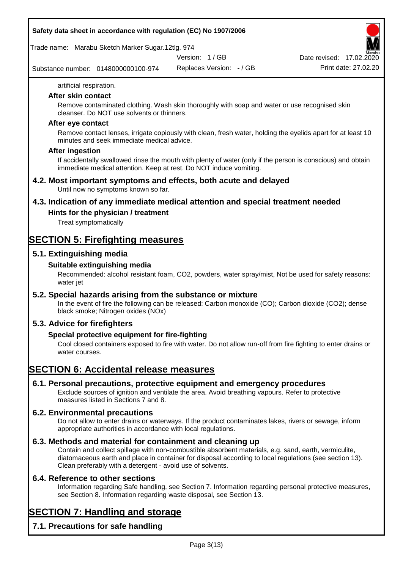Trade name: Marabu Sketch Marker Sugar.12tlg. 974

Version: 1 / GB

Substance number: 0148000000100-974

Replaces Version: - / GB Print date: 27.02.20 Date revised: 17.02.2020

artificial respiration.

#### **After skin contact**

Remove contaminated clothing. Wash skin thoroughly with soap and water or use recognised skin cleanser. Do NOT use solvents or thinners.

#### **After eye contact**

Remove contact lenses, irrigate copiously with clean, fresh water, holding the eyelids apart for at least 10 minutes and seek immediate medical advice.

#### **After ingestion**

If accidentally swallowed rinse the mouth with plenty of water (only if the person is conscious) and obtain immediate medical attention. Keep at rest. Do NOT induce vomiting.

#### **4.2. Most important symptoms and effects, both acute and delayed** Until now no symptoms known so far.

**4.3. Indication of any immediate medical attention and special treatment needed**

# **Hints for the physician / treatment**

Treat symptomatically

# **SECTION 5: Firefighting measures**

# **5.1. Extinguishing media**

# **Suitable extinguishing media**

Recommended: alcohol resistant foam, CO2, powders, water spray/mist, Not be used for safety reasons: water jet

# **5.2. Special hazards arising from the substance or mixture**

In the event of fire the following can be released: Carbon monoxide (CO); Carbon dioxide (CO2); dense black smoke; Nitrogen oxides (NOx)

# **5.3. Advice for firefighters**

# **Special protective equipment for fire-fighting**

Cool closed containers exposed to fire with water. Do not allow run-off from fire fighting to enter drains or water courses.

# **SECTION 6: Accidental release measures**

# **6.1. Personal precautions, protective equipment and emergency procedures**

Exclude sources of ignition and ventilate the area. Avoid breathing vapours. Refer to protective measures listed in Sections 7 and 8.

# **6.2. Environmental precautions**

Do not allow to enter drains or waterways. If the product contaminates lakes, rivers or sewage, inform appropriate authorities in accordance with local regulations.

# **6.3. Methods and material for containment and cleaning up**

Contain and collect spillage with non-combustible absorbent materials, e.g. sand, earth, vermiculite, diatomaceous earth and place in container for disposal according to local regulations (see section 13). Clean preferably with a detergent - avoid use of solvents.

# **6.4. Reference to other sections**

Information regarding Safe handling, see Section 7. Information regarding personal protective measures, see Section 8. Information regarding waste disposal, see Section 13.

# **SECTION 7: Handling and storage**

**7.1. Precautions for safe handling**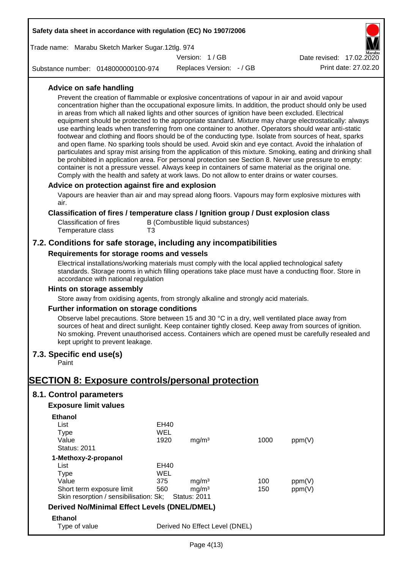|                                                     | Safety data sheet in accordance with regulation (EC) No 1907/2006                                                                                                                                                                                                                                                                                                                                                                                                                                                                                                                                                                                                                                                                                                                                                                                                                                                                                                                                                                                                                                                                                                                           |             |                                          |  |      |        |                          |
|-----------------------------------------------------|---------------------------------------------------------------------------------------------------------------------------------------------------------------------------------------------------------------------------------------------------------------------------------------------------------------------------------------------------------------------------------------------------------------------------------------------------------------------------------------------------------------------------------------------------------------------------------------------------------------------------------------------------------------------------------------------------------------------------------------------------------------------------------------------------------------------------------------------------------------------------------------------------------------------------------------------------------------------------------------------------------------------------------------------------------------------------------------------------------------------------------------------------------------------------------------------|-------------|------------------------------------------|--|------|--------|--------------------------|
|                                                     | Trade name: Marabu Sketch Marker Sugar.12tlg. 974                                                                                                                                                                                                                                                                                                                                                                                                                                                                                                                                                                                                                                                                                                                                                                                                                                                                                                                                                                                                                                                                                                                                           |             |                                          |  |      |        |                          |
|                                                     |                                                                                                                                                                                                                                                                                                                                                                                                                                                                                                                                                                                                                                                                                                                                                                                                                                                                                                                                                                                                                                                                                                                                                                                             |             | Version: 1/GB                            |  |      |        | Date revised: 17.02.2020 |
|                                                     | Substance number: 0148000000100-974                                                                                                                                                                                                                                                                                                                                                                                                                                                                                                                                                                                                                                                                                                                                                                                                                                                                                                                                                                                                                                                                                                                                                         |             | Replaces Version: - / GB                 |  |      |        | Print date: 27.02.20     |
| Advice on safe handling                             | Prevent the creation of flammable or explosive concentrations of vapour in air and avoid vapour<br>concentration higher than the occupational exposure limits. In addition, the product should only be used<br>in areas from which all naked lights and other sources of ignition have been excluded. Electrical<br>equipment should be protected to the appropriate standard. Mixture may charge electrostatically: always<br>use earthing leads when transferring from one container to another. Operators should wear anti-static<br>footwear and clothing and floors should be of the conducting type. Isolate from sources of heat, sparks<br>and open flame. No sparking tools should be used. Avoid skin and eye contact. Avoid the inhalation of<br>particulates and spray mist arising from the application of this mixture. Smoking, eating and drinking shall<br>be prohibited in application area. For personal protection see Section 8. Never use pressure to empty:<br>container is not a pressure vessel. Always keep in containers of same material as the original one.<br>Comply with the health and safety at work laws. Do not allow to enter drains or water courses. |             |                                          |  |      |        |                          |
| air.                                                | Advice on protection against fire and explosion<br>Vapours are heavier than air and may spread along floors. Vapours may form explosive mixtures with                                                                                                                                                                                                                                                                                                                                                                                                                                                                                                                                                                                                                                                                                                                                                                                                                                                                                                                                                                                                                                       |             |                                          |  |      |        |                          |
|                                                     | Classification of fires / temperature class / Ignition group / Dust explosion class                                                                                                                                                                                                                                                                                                                                                                                                                                                                                                                                                                                                                                                                                                                                                                                                                                                                                                                                                                                                                                                                                                         |             |                                          |  |      |        |                          |
| <b>Classification of fires</b><br>Temperature class |                                                                                                                                                                                                                                                                                                                                                                                                                                                                                                                                                                                                                                                                                                                                                                                                                                                                                                                                                                                                                                                                                                                                                                                             | T3          | B (Combustible liquid substances)        |  |      |        |                          |
|                                                     | 7.2. Conditions for safe storage, including any incompatibilities                                                                                                                                                                                                                                                                                                                                                                                                                                                                                                                                                                                                                                                                                                                                                                                                                                                                                                                                                                                                                                                                                                                           |             |                                          |  |      |        |                          |
|                                                     | Requirements for storage rooms and vessels                                                                                                                                                                                                                                                                                                                                                                                                                                                                                                                                                                                                                                                                                                                                                                                                                                                                                                                                                                                                                                                                                                                                                  |             |                                          |  |      |        |                          |
|                                                     | Electrical installations/working materials must comply with the local applied technological safety<br>standards. Storage rooms in which filling operations take place must have a conducting floor. Store in<br>accordance with national regulation<br>Hints on storage assembly                                                                                                                                                                                                                                                                                                                                                                                                                                                                                                                                                                                                                                                                                                                                                                                                                                                                                                            |             |                                          |  |      |        |                          |
|                                                     | Store away from oxidising agents, from strongly alkaline and strongly acid materials.                                                                                                                                                                                                                                                                                                                                                                                                                                                                                                                                                                                                                                                                                                                                                                                                                                                                                                                                                                                                                                                                                                       |             |                                          |  |      |        |                          |
|                                                     | <b>Further information on storage conditions</b><br>Observe label precautions. Store between 15 and 30 °C in a dry, well ventilated place away from<br>sources of heat and direct sunlight. Keep container tightly closed. Keep away from sources of ignition.<br>No smoking. Prevent unauthorised access. Containers which are opened must be carefully resealed and<br>kept upright to prevent leakage.                                                                                                                                                                                                                                                                                                                                                                                                                                                                                                                                                                                                                                                                                                                                                                                   |             |                                          |  |      |        |                          |
| 7.3. Specific end use(s)<br>Paint                   |                                                                                                                                                                                                                                                                                                                                                                                                                                                                                                                                                                                                                                                                                                                                                                                                                                                                                                                                                                                                                                                                                                                                                                                             |             |                                          |  |      |        |                          |
|                                                     | <b>SECTION 8: Exposure controls/personal protection</b>                                                                                                                                                                                                                                                                                                                                                                                                                                                                                                                                                                                                                                                                                                                                                                                                                                                                                                                                                                                                                                                                                                                                     |             |                                          |  |      |        |                          |
| 8.1. Control parameters                             |                                                                                                                                                                                                                                                                                                                                                                                                                                                                                                                                                                                                                                                                                                                                                                                                                                                                                                                                                                                                                                                                                                                                                                                             |             |                                          |  |      |        |                          |
| <b>Exposure limit values</b>                        |                                                                                                                                                                                                                                                                                                                                                                                                                                                                                                                                                                                                                                                                                                                                                                                                                                                                                                                                                                                                                                                                                                                                                                                             |             |                                          |  |      |        |                          |
| <b>Ethanol</b>                                      |                                                                                                                                                                                                                                                                                                                                                                                                                                                                                                                                                                                                                                                                                                                                                                                                                                                                                                                                                                                                                                                                                                                                                                                             |             |                                          |  |      |        |                          |
| List                                                |                                                                                                                                                                                                                                                                                                                                                                                                                                                                                                                                                                                                                                                                                                                                                                                                                                                                                                                                                                                                                                                                                                                                                                                             | <b>EH40</b> |                                          |  |      |        |                          |
| Type                                                |                                                                                                                                                                                                                                                                                                                                                                                                                                                                                                                                                                                                                                                                                                                                                                                                                                                                                                                                                                                                                                                                                                                                                                                             | <b>WEL</b>  |                                          |  |      |        |                          |
| Value<br><b>Status: 2011</b>                        |                                                                                                                                                                                                                                                                                                                                                                                                                                                                                                                                                                                                                                                                                                                                                                                                                                                                                                                                                                                                                                                                                                                                                                                             | 1920        | mg/m <sup>3</sup>                        |  | 1000 | ppm(V) |                          |
| 1-Methoxy-2-propanol                                |                                                                                                                                                                                                                                                                                                                                                                                                                                                                                                                                                                                                                                                                                                                                                                                                                                                                                                                                                                                                                                                                                                                                                                                             |             |                                          |  |      |        |                          |
| List                                                |                                                                                                                                                                                                                                                                                                                                                                                                                                                                                                                                                                                                                                                                                                                                                                                                                                                                                                                                                                                                                                                                                                                                                                                             | <b>EH40</b> |                                          |  |      |        |                          |
| <b>Type</b>                                         |                                                                                                                                                                                                                                                                                                                                                                                                                                                                                                                                                                                                                                                                                                                                                                                                                                                                                                                                                                                                                                                                                                                                                                                             | <b>WEL</b>  |                                          |  |      |        |                          |
| Value                                               |                                                                                                                                                                                                                                                                                                                                                                                                                                                                                                                                                                                                                                                                                                                                                                                                                                                                                                                                                                                                                                                                                                                                                                                             | 375         | mg/m <sup>3</sup>                        |  | 100  | ppm(V) |                          |
|                                                     | Short term exposure limit<br>Skin resorption / sensibilisation: Sk;                                                                                                                                                                                                                                                                                                                                                                                                                                                                                                                                                                                                                                                                                                                                                                                                                                                                                                                                                                                                                                                                                                                         | 560         | mg/m <sup>3</sup><br><b>Status: 2011</b> |  | 150  | ppm(V) |                          |
|                                                     | <b>Derived No/Minimal Effect Levels (DNEL/DMEL)</b>                                                                                                                                                                                                                                                                                                                                                                                                                                                                                                                                                                                                                                                                                                                                                                                                                                                                                                                                                                                                                                                                                                                                         |             |                                          |  |      |        |                          |
| <b>Ethanol</b>                                      |                                                                                                                                                                                                                                                                                                                                                                                                                                                                                                                                                                                                                                                                                                                                                                                                                                                                                                                                                                                                                                                                                                                                                                                             |             |                                          |  |      |        |                          |
| Type of value                                       |                                                                                                                                                                                                                                                                                                                                                                                                                                                                                                                                                                                                                                                                                                                                                                                                                                                                                                                                                                                                                                                                                                                                                                                             |             | Derived No Effect Level (DNEL)           |  |      |        |                          |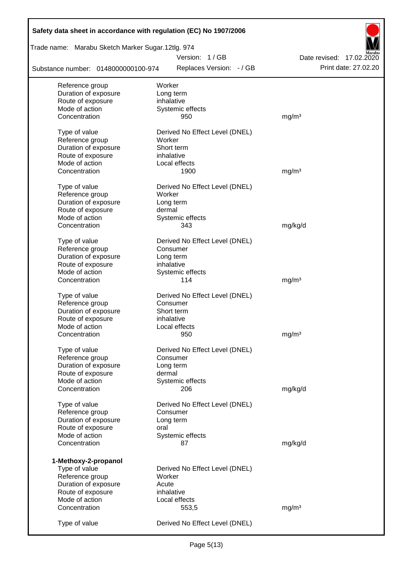| Safety data sheet in accordance with regulation (EC) No 1907/2006 |                                |                          |
|-------------------------------------------------------------------|--------------------------------|--------------------------|
| Trade name: Marabu Sketch Marker Sugar.12tlg. 974                 |                                |                          |
|                                                                   | Version: 1/GB                  | Date revised: 17.02.2020 |
| Substance number: 0148000000100-974                               | Replaces Version: - / GB       | Print date: 27.02.20     |
| Reference group                                                   | Worker                         |                          |
| Duration of exposure                                              | Long term                      |                          |
| Route of exposure                                                 | inhalative                     |                          |
| Mode of action                                                    | Systemic effects               |                          |
| Concentration                                                     | 950                            | mg/m <sup>3</sup>        |
| Type of value                                                     | Derived No Effect Level (DNEL) |                          |
| Reference group                                                   | Worker                         |                          |
| Duration of exposure                                              | Short term                     |                          |
| Route of exposure                                                 | inhalative                     |                          |
| Mode of action                                                    | Local effects                  |                          |
| Concentration                                                     | 1900                           | mg/m <sup>3</sup>        |
| Type of value                                                     | Derived No Effect Level (DNEL) |                          |
| Reference group                                                   | Worker                         |                          |
| Duration of exposure                                              | Long term                      |                          |
| Route of exposure                                                 | dermal                         |                          |
| Mode of action                                                    | Systemic effects               |                          |
| Concentration                                                     | 343                            | mg/kg/d                  |
|                                                                   |                                |                          |
| Type of value                                                     | Derived No Effect Level (DNEL) |                          |
| Reference group                                                   | Consumer                       |                          |
| Duration of exposure                                              | Long term                      |                          |
| Route of exposure<br>Mode of action                               | inhalative                     |                          |
| Concentration                                                     | Systemic effects<br>114        | mg/m <sup>3</sup>        |
|                                                                   |                                |                          |
| Type of value                                                     | Derived No Effect Level (DNEL) |                          |
| Reference group                                                   | Consumer                       |                          |
| Duration of exposure                                              | Short term                     |                          |
| Route of exposure                                                 | inhalative                     |                          |
| Mode of action                                                    | Local effects                  |                          |
| Concentration                                                     | 950                            | mg/m <sup>3</sup>        |
| Type of value                                                     | Derived No Effect Level (DNEL) |                          |
| Reference group                                                   | Consumer                       |                          |
| Duration of exposure                                              | Long term                      |                          |
| Route of exposure                                                 | dermal                         |                          |
| Mode of action                                                    | Systemic effects               |                          |
| Concentration                                                     | 206                            | mg/kg/d                  |
| Type of value                                                     | Derived No Effect Level (DNEL) |                          |
| Reference group                                                   | Consumer                       |                          |
| Duration of exposure                                              | Long term                      |                          |
| Route of exposure                                                 | oral                           |                          |
| Mode of action                                                    | Systemic effects               |                          |
| Concentration                                                     | 87                             | mg/kg/d                  |
|                                                                   |                                |                          |
| 1-Methoxy-2-propanol                                              |                                |                          |
| Type of value                                                     | Derived No Effect Level (DNEL) |                          |
| Reference group                                                   | Worker                         |                          |
| Duration of exposure                                              | Acute                          |                          |
| Route of exposure                                                 | inhalative                     |                          |
| Mode of action                                                    | Local effects                  |                          |
| Concentration                                                     | 553,5                          | mg/m <sup>3</sup>        |
| Type of value                                                     | Derived No Effect Level (DNEL) |                          |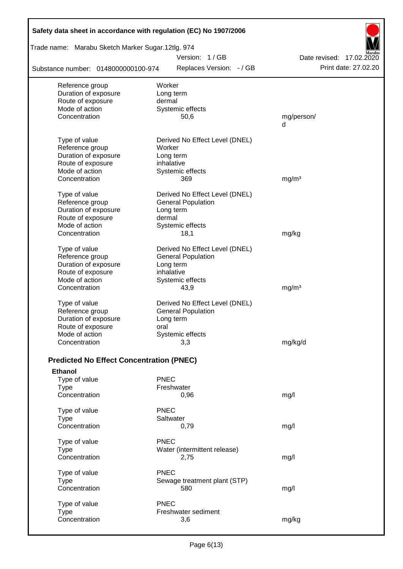| Safety data sheet in accordance with regulation (EC) No 1907/2006 |                                           |                                                  |
|-------------------------------------------------------------------|-------------------------------------------|--------------------------------------------------|
| Trade name: Marabu Sketch Marker Sugar.12tlg. 974                 |                                           |                                                  |
| Substance number: 0148000000100-974                               | Version: 1/GB<br>Replaces Version: - / GB | Date revised: 17.02.2020<br>Print date: 27.02.20 |
|                                                                   |                                           |                                                  |
| Reference group                                                   | Worker                                    |                                                  |
| Duration of exposure<br>Route of exposure                         | Long term<br>dermal                       |                                                  |
| Mode of action                                                    | Systemic effects                          |                                                  |
| Concentration                                                     | 50,6                                      | mg/person/                                       |
|                                                                   |                                           | d                                                |
| Type of value                                                     | Derived No Effect Level (DNEL)            |                                                  |
| Reference group                                                   | Worker                                    |                                                  |
| Duration of exposure                                              | Long term                                 |                                                  |
| Route of exposure                                                 | inhalative                                |                                                  |
| Mode of action                                                    | Systemic effects                          |                                                  |
| Concentration                                                     | 369                                       | mg/m <sup>3</sup>                                |
| Type of value                                                     | Derived No Effect Level (DNEL)            |                                                  |
| Reference group                                                   | <b>General Population</b>                 |                                                  |
| Duration of exposure                                              | Long term                                 |                                                  |
| Route of exposure                                                 | dermal                                    |                                                  |
| Mode of action<br>Concentration                                   | Systemic effects                          |                                                  |
|                                                                   | 18,1                                      | mg/kg                                            |
| Type of value                                                     | Derived No Effect Level (DNEL)            |                                                  |
| Reference group                                                   | <b>General Population</b>                 |                                                  |
| Duration of exposure                                              | Long term                                 |                                                  |
| Route of exposure                                                 | inhalative                                |                                                  |
| Mode of action                                                    | Systemic effects                          |                                                  |
| Concentration                                                     | 43,9                                      | mg/m <sup>3</sup>                                |
| Type of value                                                     | Derived No Effect Level (DNEL)            |                                                  |
| Reference group                                                   | <b>General Population</b>                 |                                                  |
| Duration of exposure                                              | Long term                                 |                                                  |
| Route of exposure                                                 | oral                                      |                                                  |
| Mode of action                                                    | Systemic effects                          |                                                  |
| Concentration                                                     | 3,3                                       | mg/kg/d                                          |
| <b>Predicted No Effect Concentration (PNEC)</b>                   |                                           |                                                  |
| <b>Ethanol</b>                                                    |                                           |                                                  |
| Type of value                                                     | <b>PNEC</b>                               |                                                  |
| <b>Type</b>                                                       | Freshwater                                |                                                  |
| Concentration                                                     | 0,96                                      | mg/l                                             |
| Type of value                                                     | <b>PNEC</b>                               |                                                  |
| <b>Type</b>                                                       | Saltwater                                 |                                                  |
| Concentration                                                     | 0,79                                      | mg/l                                             |
| Type of value                                                     | <b>PNEC</b>                               |                                                  |
| <b>Type</b>                                                       | Water (intermittent release)              |                                                  |
| Concentration                                                     | 2,75                                      | mg/l                                             |
| Type of value                                                     | <b>PNEC</b>                               |                                                  |
| <b>Type</b>                                                       | Sewage treatment plant (STP)              |                                                  |
| Concentration                                                     | 580                                       | mg/l                                             |
| Type of value                                                     | <b>PNEC</b>                               |                                                  |
| <b>Type</b>                                                       | Freshwater sediment                       |                                                  |
| Concentration                                                     | 3,6                                       | mg/kg                                            |
|                                                                   |                                           |                                                  |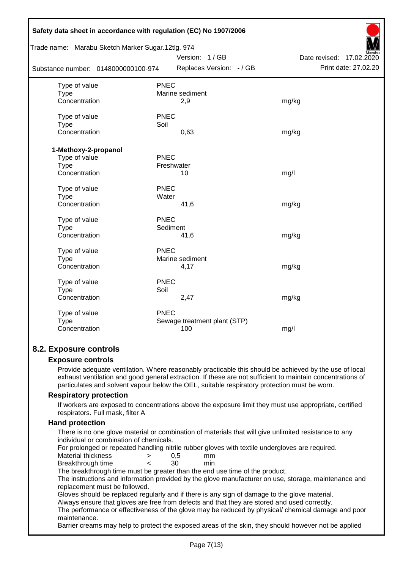| Safety data sheet in accordance with regulation (EC) No 1907/2006 |                 |                              |                             |
|-------------------------------------------------------------------|-----------------|------------------------------|-----------------------------|
| Trade name: Marabu Sketch Marker Sugar.12tlg. 974                 |                 |                              |                             |
|                                                                   |                 | Version: 1/GB                | Date revised:<br>17.02.2020 |
| Substance number: 0148000000100-974                               |                 | Replaces Version: - / GB     | Print date: 27.02.20        |
| Type of value                                                     | <b>PNEC</b>     |                              |                             |
| <b>Type</b>                                                       | Marine sediment |                              |                             |
| Concentration                                                     | 2,9             |                              | mg/kg                       |
| Type of value                                                     | <b>PNEC</b>     |                              |                             |
| <b>Type</b>                                                       | Soil            |                              |                             |
| Concentration                                                     | 0,63            |                              | mg/kg                       |
| 1-Methoxy-2-propanol                                              |                 |                              |                             |
| Type of value                                                     | <b>PNEC</b>     |                              |                             |
| Type                                                              | Freshwater      |                              |                             |
| Concentration                                                     | 10              |                              | mg/l                        |
|                                                                   |                 |                              |                             |
| Type of value                                                     | <b>PNEC</b>     |                              |                             |
| <b>Type</b>                                                       | Water           |                              |                             |
| Concentration                                                     | 41,6            |                              | mg/kg                       |
| Type of value                                                     | <b>PNEC</b>     |                              |                             |
| Type                                                              | Sediment        |                              |                             |
| Concentration                                                     | 41,6            |                              | mg/kg                       |
|                                                                   |                 |                              |                             |
| Type of value                                                     | <b>PNEC</b>     |                              |                             |
| Type                                                              | Marine sediment |                              |                             |
| Concentration                                                     | 4,17            |                              | mg/kg                       |
| Type of value                                                     | <b>PNEC</b>     |                              |                             |
| Type                                                              | Soil            |                              |                             |
| Concentration                                                     | 2,47            |                              | mg/kg                       |
| Type of value                                                     | <b>PNEC</b>     |                              |                             |
| <b>Type</b>                                                       |                 | Sewage treatment plant (STP) |                             |
| Concentration                                                     | 100             |                              | mg/l                        |
|                                                                   |                 |                              |                             |

# **8.2. Exposure controls**

#### **Exposure controls**

Provide adequate ventilation. Where reasonably practicable this should be achieved by the use of local exhaust ventilation and good general extraction. If these are not sufficient to maintain concentrations of particulates and solvent vapour below the OEL, suitable respiratory protection must be worn.

#### **Respiratory protection**

If workers are exposed to concentrations above the exposure limit they must use appropriate, certified respirators. Full mask, filter A

# **Hand protection**

There is no one glove material or combination of materials that will give unlimited resistance to any individual or combination of chemicals.

For prolonged or repeated handling nitrile rubber gloves with textile undergloves are required.

| Material thickness |  | mm  |
|--------------------|--|-----|
| Breakthrough time  |  | mın |

The breakthrough time must be greater than the end use time of the product.

The instructions and information provided by the glove manufacturer on use, storage, maintenance and replacement must be followed.

Gloves should be replaced regularly and if there is any sign of damage to the glove material.

Always ensure that gloves are free from defects and that they are stored and used correctly.

The performance or effectiveness of the glove may be reduced by physical/ chemical damage and poor maintenance.

Barrier creams may help to protect the exposed areas of the skin, they should however not be applied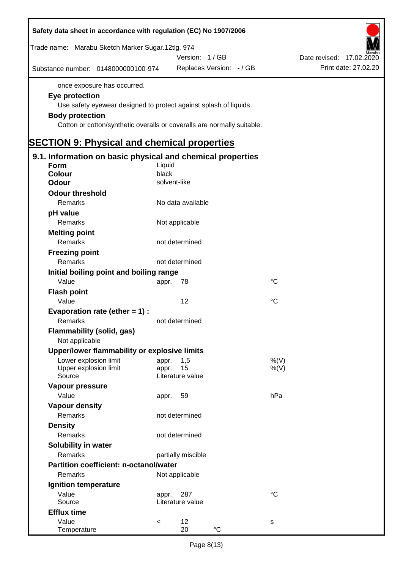| Safety data sheet in accordance with regulation (EC) No 1907/2006         |                                 |             |                          |
|---------------------------------------------------------------------------|---------------------------------|-------------|--------------------------|
| Trade name: Marabu Sketch Marker Sugar.12tlg. 974                         |                                 |             |                          |
|                                                                           | Version: 1/GB                   |             | Date revised: 17.02.2020 |
| Substance number: 0148000000100-974                                       | Replaces Version: - / GB        |             | Print date: 27.02.20     |
| once exposure has occurred.                                               |                                 |             |                          |
| Eye protection                                                            |                                 |             |                          |
| Use safety eyewear designed to protect against splash of liquids.         |                                 |             |                          |
| <b>Body protection</b>                                                    |                                 |             |                          |
| Cotton or cotton/synthetic overalls or coveralls are normally suitable.   |                                 |             |                          |
| <b>SECTION 9: Physical and chemical properties</b>                        |                                 |             |                          |
|                                                                           |                                 |             |                          |
| 9.1. Information on basic physical and chemical properties<br><b>Form</b> | Liquid                          |             |                          |
| <b>Colour</b>                                                             | black                           |             |                          |
| <b>Odour</b>                                                              | solvent-like                    |             |                          |
| <b>Odour threshold</b>                                                    |                                 |             |                          |
| Remarks                                                                   | No data available               |             |                          |
| pH value                                                                  |                                 |             |                          |
| Remarks                                                                   | Not applicable                  |             |                          |
| <b>Melting point</b>                                                      |                                 |             |                          |
| Remarks                                                                   | not determined                  |             |                          |
| <b>Freezing point</b>                                                     |                                 |             |                          |
| Remarks                                                                   | not determined                  |             |                          |
| Initial boiling point and boiling range                                   |                                 |             |                          |
| Value                                                                     | 78<br>appr.                     | $^{\circ}C$ |                          |
| <b>Flash point</b>                                                        |                                 |             |                          |
| Value                                                                     | 12                              | °C          |                          |
| Evaporation rate (ether $= 1$ ) :                                         |                                 |             |                          |
| Remarks                                                                   | not determined                  |             |                          |
| Flammability (solid, gas)                                                 |                                 |             |                          |
| Not applicable                                                            |                                 |             |                          |
| Upper/lower flammability or explosive limits                              |                                 |             |                          |
| Lower explosion limit                                                     | 1,5<br>appr.                    | %(V)        |                          |
| Upper explosion limit<br>Source                                           | 15<br>appr.<br>Literature value | %(V)        |                          |
| Vapour pressure                                                           |                                 |             |                          |
| Value                                                                     | 59<br>appr.                     | hPa         |                          |
| <b>Vapour density</b>                                                     |                                 |             |                          |
| Remarks                                                                   | not determined                  |             |                          |
| <b>Density</b>                                                            |                                 |             |                          |
| Remarks                                                                   | not determined                  |             |                          |
| Solubility in water                                                       |                                 |             |                          |
| Remarks                                                                   | partially miscible              |             |                          |
| Partition coefficient: n-octanol/water                                    |                                 |             |                          |
| Remarks                                                                   | Not applicable                  |             |                          |
| Ignition temperature                                                      |                                 |             |                          |
| Value                                                                     | 287<br>appr.                    | $^{\circ}C$ |                          |
| Source                                                                    | Literature value                |             |                          |
| <b>Efflux time</b>                                                        |                                 |             |                          |
| Value                                                                     | 12<br>$\,<$                     | S           |                          |
| Temperature                                                               | $^{\circ}C$<br>20               |             |                          |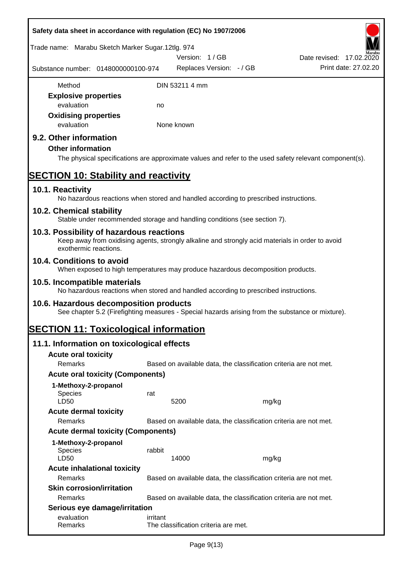| Safety data sheet in accordance with regulation (EC) No 1907/2006                                                                                                     |          |                                                                   |       |                          |                      |
|-----------------------------------------------------------------------------------------------------------------------------------------------------------------------|----------|-------------------------------------------------------------------|-------|--------------------------|----------------------|
| Trade name: Marabu Sketch Marker Sugar.12tlg. 974                                                                                                                     |          |                                                                   |       |                          |                      |
|                                                                                                                                                                       |          | Version: 1/GB                                                     |       | Date revised: 17.02.2020 |                      |
| Substance number: 0148000000100-974                                                                                                                                   |          | Replaces Version: - / GB                                          |       |                          | Print date: 27,02.20 |
| Method                                                                                                                                                                |          | DIN 53211 4 mm                                                    |       |                          |                      |
| <b>Explosive properties</b>                                                                                                                                           |          |                                                                   |       |                          |                      |
| evaluation                                                                                                                                                            | no       |                                                                   |       |                          |                      |
| <b>Oxidising properties</b><br>evaluation                                                                                                                             |          | None known                                                        |       |                          |                      |
| 9.2. Other information<br><b>Other information</b><br>The physical specifications are approximate values and refer to the used safety relevant component(s).          |          |                                                                   |       |                          |                      |
| <b>SECTION 10: Stability and reactivity</b>                                                                                                                           |          |                                                                   |       |                          |                      |
| 10.1. Reactivity<br>No hazardous reactions when stored and handled according to prescribed instructions.                                                              |          |                                                                   |       |                          |                      |
| 10.2. Chemical stability<br>Stable under recommended storage and handling conditions (see section 7).                                                                 |          |                                                                   |       |                          |                      |
| 10.3. Possibility of hazardous reactions<br>Keep away from oxidising agents, strongly alkaline and strongly acid materials in order to avoid<br>exothermic reactions. |          |                                                                   |       |                          |                      |
| 10.4. Conditions to avoid<br>When exposed to high temperatures may produce hazardous decomposition products.                                                          |          |                                                                   |       |                          |                      |
| 10.5. Incompatible materials<br>No hazardous reactions when stored and handled according to prescribed instructions.                                                  |          |                                                                   |       |                          |                      |
| 10.6. Hazardous decomposition products<br>See chapter 5.2 (Firefighting measures - Special hazards arising from the substance or mixture).                            |          |                                                                   |       |                          |                      |
| <b>SECTION 11: Toxicological information</b>                                                                                                                          |          |                                                                   |       |                          |                      |
| 11.1. Information on toxicological effects                                                                                                                            |          |                                                                   |       |                          |                      |
| <b>Acute oral toxicity</b>                                                                                                                                            |          |                                                                   |       |                          |                      |
| Remarks                                                                                                                                                               |          | Based on available data, the classification criteria are not met. |       |                          |                      |
| <b>Acute oral toxicity (Components)</b>                                                                                                                               |          |                                                                   |       |                          |                      |
| 1-Methoxy-2-propanol<br>Species<br>LD50                                                                                                                               | rat      | 5200                                                              | mg/kg |                          |                      |
| <b>Acute dermal toxicity</b><br>Remarks                                                                                                                               |          | Based on available data, the classification criteria are not met. |       |                          |                      |
| <b>Acute dermal toxicity (Components)</b>                                                                                                                             |          |                                                                   |       |                          |                      |
| 1-Methoxy-2-propanol                                                                                                                                                  |          |                                                                   |       |                          |                      |
| Species<br>LD50                                                                                                                                                       | rabbit   | 14000                                                             | mg/kg |                          |                      |
| <b>Acute inhalational toxicity</b><br>Remarks                                                                                                                         |          | Based on available data, the classification criteria are not met. |       |                          |                      |
| <b>Skin corrosion/irritation</b>                                                                                                                                      |          |                                                                   |       |                          |                      |
| Remarks                                                                                                                                                               |          | Based on available data, the classification criteria are not met. |       |                          |                      |
| Serious eye damage/irritation                                                                                                                                         |          |                                                                   |       |                          |                      |
| evaluation<br>Remarks                                                                                                                                                 | irritant | The classification criteria are met.                              |       |                          |                      |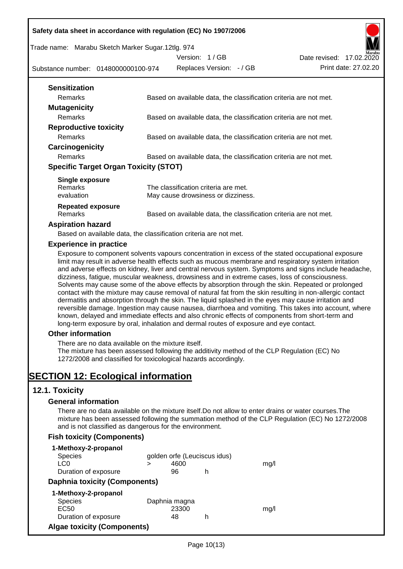Trade name: Marabu Sketch Marker Sugar.12tlg. 974

Version: 1 / GB Replaces Version: - / GB Print date: 27.02.20



| <b>Sensitization</b>                         |                                                                   |
|----------------------------------------------|-------------------------------------------------------------------|
| <b>Remarks</b>                               | Based on available data, the classification criteria are not met. |
| <b>Mutagenicity</b>                          |                                                                   |
| <b>Remarks</b>                               | Based on available data, the classification criteria are not met. |
| <b>Reproductive toxicity</b>                 |                                                                   |
| Remarks                                      | Based on available data, the classification criteria are not met. |
| Carcinogenicity                              |                                                                   |
| <b>Remarks</b>                               | Based on available data, the classification criteria are not met. |
| <b>Specific Target Organ Toxicity (STOT)</b> |                                                                   |
| Single exposure                              |                                                                   |
| <b>Remarks</b>                               | The classification criteria are met.                              |
| evaluation                                   | May cause drowsiness or dizziness.                                |
| <b>Repeated exposure</b>                     |                                                                   |

Remarks Based on available data, the classification criteria are not met.

#### **Aspiration hazard**

Based on available data, the classification criteria are not met.

#### **Experience in practice**

Exposure to component solvents vapours concentration in excess of the stated occupational exposure limit may result in adverse health effects such as mucous membrane and respiratory system irritation and adverse effects on kidney, liver and central nervous system. Symptoms and signs include headache, dizziness, fatigue, muscular weakness, drowsiness and in extreme cases, loss of consciousness. Solvents may cause some of the above effects by absorption through the skin. Repeated or prolonged contact with the mixture may cause removal of natural fat from the skin resulting in non-allergic contact dermatitis and absorption through the skin. The liquid splashed in the eyes may cause irritation and reversible damage. Ingestion may cause nausea, diarrhoea and vomiting. This takes into account, where known, delayed and immediate effects and also chronic effects of components from short-term and long-term exposure by oral, inhalation and dermal routes of exposure and eye contact.

# **Other information**

There are no data available on the mixture itself.

The mixture has been assessed following the additivity method of the CLP Regulation (EC) No 1272/2008 and classified for toxicological hazards accordingly.

# **SECTION 12: Ecological information**

# **12.1. Toxicity**

# **General information**

There are no data available on the mixture itself.Do not allow to enter drains or water courses.The mixture has been assessed following the summation method of the CLP Regulation (EC) No 1272/2008 and is not classified as dangerous for the environment.

# **Fish toxicity (Components)**

| 1-Methoxy-2-propanol                 |   |               |                              |      |
|--------------------------------------|---|---------------|------------------------------|------|
| <b>Species</b>                       |   |               | golden orfe (Leuciscus idus) |      |
| LC0                                  | > | 4600          |                              | mq/l |
| Duration of exposure                 |   | 96            | h                            |      |
| <b>Daphnia toxicity (Components)</b> |   |               |                              |      |
| 1-Methoxy-2-propanol                 |   |               |                              |      |
| <b>Species</b>                       |   | Daphnia magna |                              |      |
| EC <sub>50</sub>                     |   | 23300         |                              | mq/  |
| Duration of exposure                 |   | 48            | h                            |      |
| <b>Algae toxicity (Components)</b>   |   |               |                              |      |

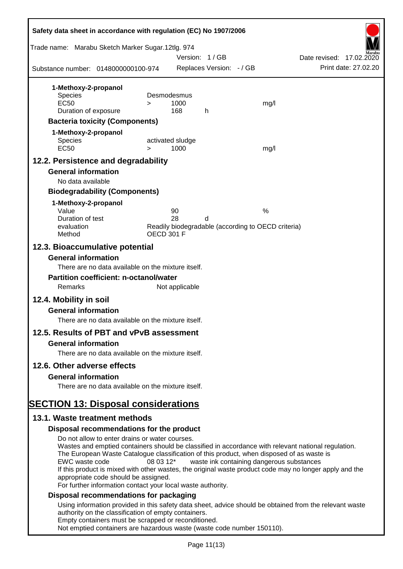| Safety data sheet in accordance with regulation (EC) No 1907/2006                                                                                                                     |           |                          |                          |                                                                                                                                                                                                                                                                                                                                                          |
|---------------------------------------------------------------------------------------------------------------------------------------------------------------------------------------|-----------|--------------------------|--------------------------|----------------------------------------------------------------------------------------------------------------------------------------------------------------------------------------------------------------------------------------------------------------------------------------------------------------------------------------------------------|
| Trade name: Marabu Sketch Marker Sugar.12tlg. 974                                                                                                                                     |           | Version: 1/GB            |                          | Date revised: 17.02.2020                                                                                                                                                                                                                                                                                                                                 |
| Substance number: 0148000000100-974                                                                                                                                                   |           |                          | Replaces Version: - / GB | Print date: 27,02.20                                                                                                                                                                                                                                                                                                                                     |
| 1-Methoxy-2-propanol                                                                                                                                                                  |           |                          |                          |                                                                                                                                                                                                                                                                                                                                                          |
| <b>Species</b>                                                                                                                                                                        |           | Desmodesmus              |                          |                                                                                                                                                                                                                                                                                                                                                          |
| <b>EC50</b>                                                                                                                                                                           | $\geq$    | 1000                     |                          | mg/l                                                                                                                                                                                                                                                                                                                                                     |
| Duration of exposure                                                                                                                                                                  |           | 168                      | h                        |                                                                                                                                                                                                                                                                                                                                                          |
| <b>Bacteria toxicity (Components)</b>                                                                                                                                                 |           |                          |                          |                                                                                                                                                                                                                                                                                                                                                          |
| 1-Methoxy-2-propanol                                                                                                                                                                  |           |                          |                          |                                                                                                                                                                                                                                                                                                                                                          |
| <b>Species</b><br><b>EC50</b>                                                                                                                                                         | $\geq$    | activated sludge<br>1000 |                          | mg/l                                                                                                                                                                                                                                                                                                                                                     |
| 12.2. Persistence and degradability                                                                                                                                                   |           |                          |                          |                                                                                                                                                                                                                                                                                                                                                          |
| <b>General information</b>                                                                                                                                                            |           |                          |                          |                                                                                                                                                                                                                                                                                                                                                          |
| No data available                                                                                                                                                                     |           |                          |                          |                                                                                                                                                                                                                                                                                                                                                          |
| <b>Biodegradability (Components)</b>                                                                                                                                                  |           |                          |                          |                                                                                                                                                                                                                                                                                                                                                          |
| 1-Methoxy-2-propanol                                                                                                                                                                  |           |                          |                          |                                                                                                                                                                                                                                                                                                                                                          |
| Value<br>Duration of test                                                                                                                                                             |           | 90<br>28                 | d                        | %                                                                                                                                                                                                                                                                                                                                                        |
| evaluation                                                                                                                                                                            |           |                          |                          | Readily biodegradable (according to OECD criteria)                                                                                                                                                                                                                                                                                                       |
| Method                                                                                                                                                                                |           | <b>OECD 301 F</b>        |                          |                                                                                                                                                                                                                                                                                                                                                          |
| 12.3. Bioaccumulative potential<br><b>General information</b>                                                                                                                         |           |                          |                          |                                                                                                                                                                                                                                                                                                                                                          |
| There are no data available on the mixture itself.                                                                                                                                    |           |                          |                          |                                                                                                                                                                                                                                                                                                                                                          |
| <b>Partition coefficient: n-octanol/water</b>                                                                                                                                         |           |                          |                          |                                                                                                                                                                                                                                                                                                                                                          |
| Remarks                                                                                                                                                                               |           | Not applicable           |                          |                                                                                                                                                                                                                                                                                                                                                          |
| 12.4. Mobility in soil                                                                                                                                                                |           |                          |                          |                                                                                                                                                                                                                                                                                                                                                          |
| <b>General information</b>                                                                                                                                                            |           |                          |                          |                                                                                                                                                                                                                                                                                                                                                          |
| There are no data available on the mixture itself.                                                                                                                                    |           |                          |                          |                                                                                                                                                                                                                                                                                                                                                          |
| 12.5. Results of PBT and vPvB assessment                                                                                                                                              |           |                          |                          |                                                                                                                                                                                                                                                                                                                                                          |
| <b>General information</b>                                                                                                                                                            |           |                          |                          |                                                                                                                                                                                                                                                                                                                                                          |
| There are no data available on the mixture itself.                                                                                                                                    |           |                          |                          |                                                                                                                                                                                                                                                                                                                                                          |
| 12.6. Other adverse effects                                                                                                                                                           |           |                          |                          |                                                                                                                                                                                                                                                                                                                                                          |
| <b>General information</b>                                                                                                                                                            |           |                          |                          |                                                                                                                                                                                                                                                                                                                                                          |
| There are no data available on the mixture itself.                                                                                                                                    |           |                          |                          |                                                                                                                                                                                                                                                                                                                                                          |
| <b>SECTION 13: Disposal considerations</b>                                                                                                                                            |           |                          |                          |                                                                                                                                                                                                                                                                                                                                                          |
| 13.1. Waste treatment methods                                                                                                                                                         |           |                          |                          |                                                                                                                                                                                                                                                                                                                                                          |
| Disposal recommendations for the product                                                                                                                                              |           |                          |                          |                                                                                                                                                                                                                                                                                                                                                          |
| Do not allow to enter drains or water courses.                                                                                                                                        |           |                          |                          |                                                                                                                                                                                                                                                                                                                                                          |
| EWC waste code<br>appropriate code should be assigned.<br>For further information contact your local waste authority.                                                                 | 08 03 12* |                          |                          | Wastes and emptied containers should be classified in accordance with relevant national regulation.<br>The European Waste Catalogue classification of this product, when disposed of as waste is<br>waste ink containing dangerous substances<br>If this product is mixed with other wastes, the original waste product code may no longer apply and the |
| Disposal recommendations for packaging                                                                                                                                                |           |                          |                          |                                                                                                                                                                                                                                                                                                                                                          |
| authority on the classification of empty containers.<br>Empty containers must be scrapped or reconditioned.<br>Not emptied containers are hazardous waste (waste code number 150110). |           |                          |                          | Using information provided in this safety data sheet, advice should be obtained from the relevant waste                                                                                                                                                                                                                                                  |
|                                                                                                                                                                                       |           |                          |                          |                                                                                                                                                                                                                                                                                                                                                          |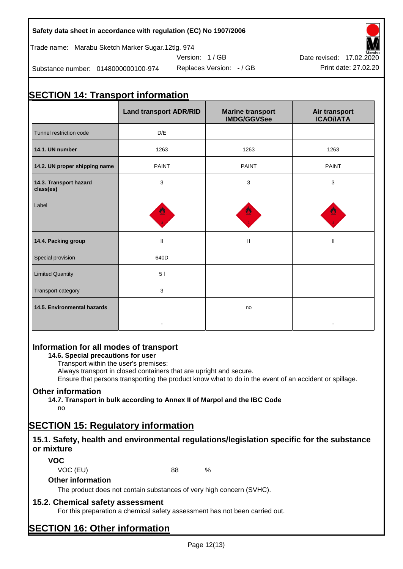Trade name: Marabu Sketch Marker Sugar.12tlg. 974

Substance number: 0148000000100-974

# Version: 1 / GB



-

# **SECTION 14: Transport information Land transport ADR/RID Marine transport IMDG/GGVSee Air transport ICAO/IATA** Tunnel restriction code **D**/F **14.1. UN number** 1263 1263 1263 **14.2. UN proper shipping name PAINT** PAINT **PAINT** PAINT PAINT **14.3. Transport hazard class(es)** 3 3 3 Label **14.4. Packing group Community Community Community Community Community Community Community Community Community** Special provision 640D

# **Information for all modes of transport**

Limited Quantity **1999 1999 1999 1999 1999 1999 1999 1999 1999 1999 1999 1999 1999 1999 1999 1999 1999 1999 1999 1999 1999 1999 1999 1999 1999 1999 1999 1999 1999 1** 

Transport category **3** 

**14.6. Special precautions for user**

Transport within the user's premises:

Always transport in closed containers that are upright and secure.

-

Ensure that persons transporting the product know what to do in the event of an accident or spillage.

no

# **Other information**

**14.5. Environmental hazards**

**14.7. Transport in bulk according to Annex II of Marpol and the IBC Code**

no

# **SECTION 15: Regulatory information**

# **15.1. Safety, health and environmental regulations/legislation specific for the substance or mixture**

**VOC**

VOC (EU) 88 %

# **Other information**

The product does not contain substances of very high concern (SVHC).

# **15.2. Chemical safety assessment**

For this preparation a chemical safety assessment has not been carried out.

# **SECTION 16: Other information**